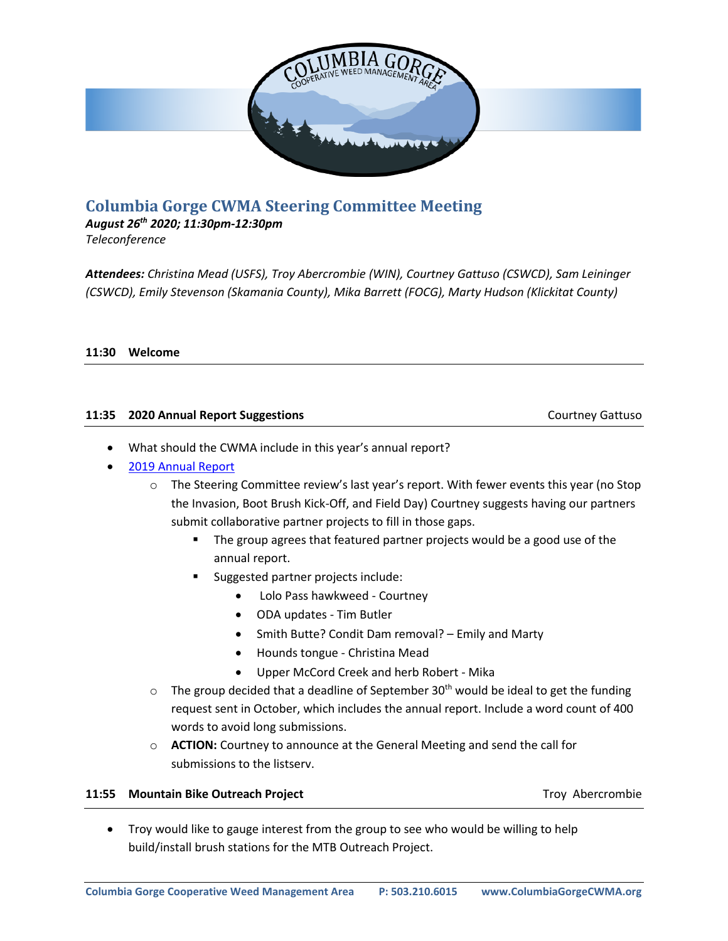

# **Columbia Gorge CWMA Steering Committee Meeting**

*August 26 th 2020; 11:30pm-12:30pm Teleconference*

*Attendees: Christina Mead (USFS), Troy Abercrombie (WIN), Courtney Gattuso (CSWCD), Sam Leininger (CSWCD), Emily Stevenson (Skamania County), Mika Barrett (FOCG), Marty Hudson (Klickitat County)*

### **11:30 Welcome**

## **11:35 2020 Annual Report Suggestions** Courtney Gattuso

- What should the CWMA include in this year's annual report?
- [2019 Annual Report](https://columbiagorgecwma.files.wordpress.com/2019/11/cg-annual-report-19-2.pdf)
	- $\circ$  The Steering Committee review's last year's report. With fewer events this year (no Stop the Invasion, Boot Brush Kick-Off, and Field Day) Courtney suggests having our partners submit collaborative partner projects to fill in those gaps.
		- The group agrees that featured partner projects would be a good use of the annual report.
		- Suggested partner projects include:
			- Lolo Pass hawkweed Courtney
			- ODA updates Tim Butler
			- Smith Butte? Condit Dam removal? Emily and Marty
			- Hounds tongue Christina Mead
			- Upper McCord Creek and herb Robert Mika
	- $\circ$  The group decided that a deadline of September 30<sup>th</sup> would be ideal to get the funding request sent in October, which includes the annual report. Include a word count of 400 words to avoid long submissions.
	- o **ACTION:** Courtney to announce at the General Meeting and send the call for submissions to the listserv.

#### **11:55 Mountain Bike Outreach Project** Number 2012 11:55 Mountain Bike Outreach Project

• Troy would like to gauge interest from the group to see who would be willing to help build/install brush stations for the MTB Outreach Project.